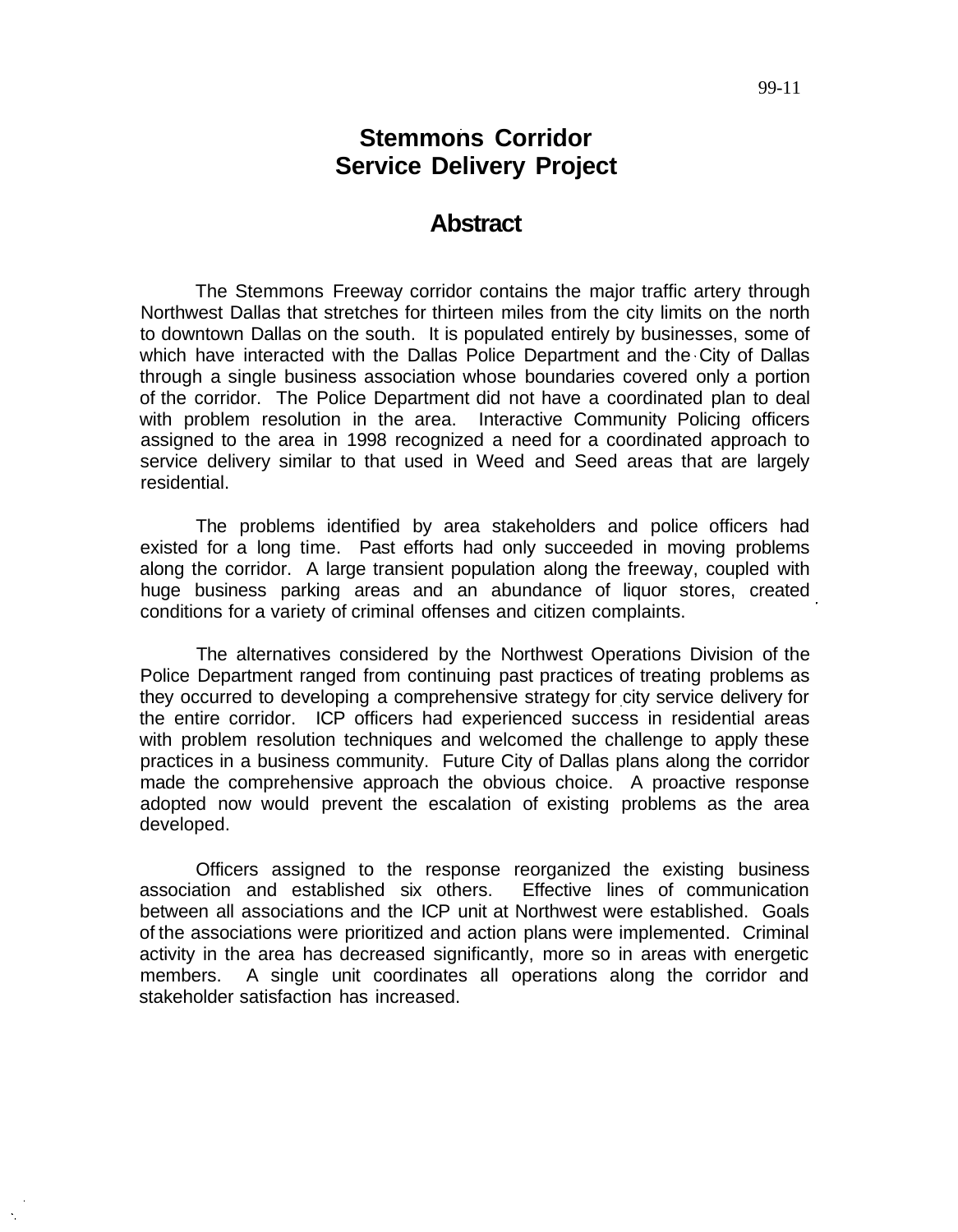# **Stemmons Corridor Service Delivery Project**

### **Abstract**

The Stemmons Freeway corridor contains the major traffic artery through Northwest Dallas that stretches for thirteen miles from the city limits on the north to downtown Dallas on the south. It is populated entirely by businesses, some of which have interacted with the Dallas Police Department and the City of Dallas through a single business association whose boundaries covered only a portion of the corridor. The Police Department did not have a coordinated plan to deal with problem resolution in the area. Interactive Community Policing officers assigned to the area in 1998 recognized a need for a coordinated approach to service delivery similar to that used in Weed and Seed areas that are largely residential.

The problems identified by area stakeholders and police officers had existed for a long time. Past efforts had only succeeded in moving problems along the corridor. A large transient population along the freeway, coupled with huge business parking areas and an abundance of liquor stores, created conditions for a variety of criminal offenses and citizen complaints.

The alternatives considered by the Northwest Operations Division of the Police Department ranged from continuing past practices of treating problems as they occurred to developing a comprehensive strategy for city service delivery for the entire corridor. ICP officers had experienced success in residential areas with problem resolution techniques and welcomed the challenge to apply these practices in a business community. Future City of Dallas plans along the corridor made the comprehensive approach the obvious choice. A proactive response adopted now would prevent the escalation of existing problems as the area developed.

Officers assigned to the response reorganized the existing business association and established six others. Effective lines of communication between all associations and the ICP unit at Northwest were established. Goals of the associations were prioritized and action plans were implemented. Criminal activity in the area has decreased significantly, more so in areas with energetic members. A single unit coordinates all operations along the corridor and stakeholder satisfaction has increased.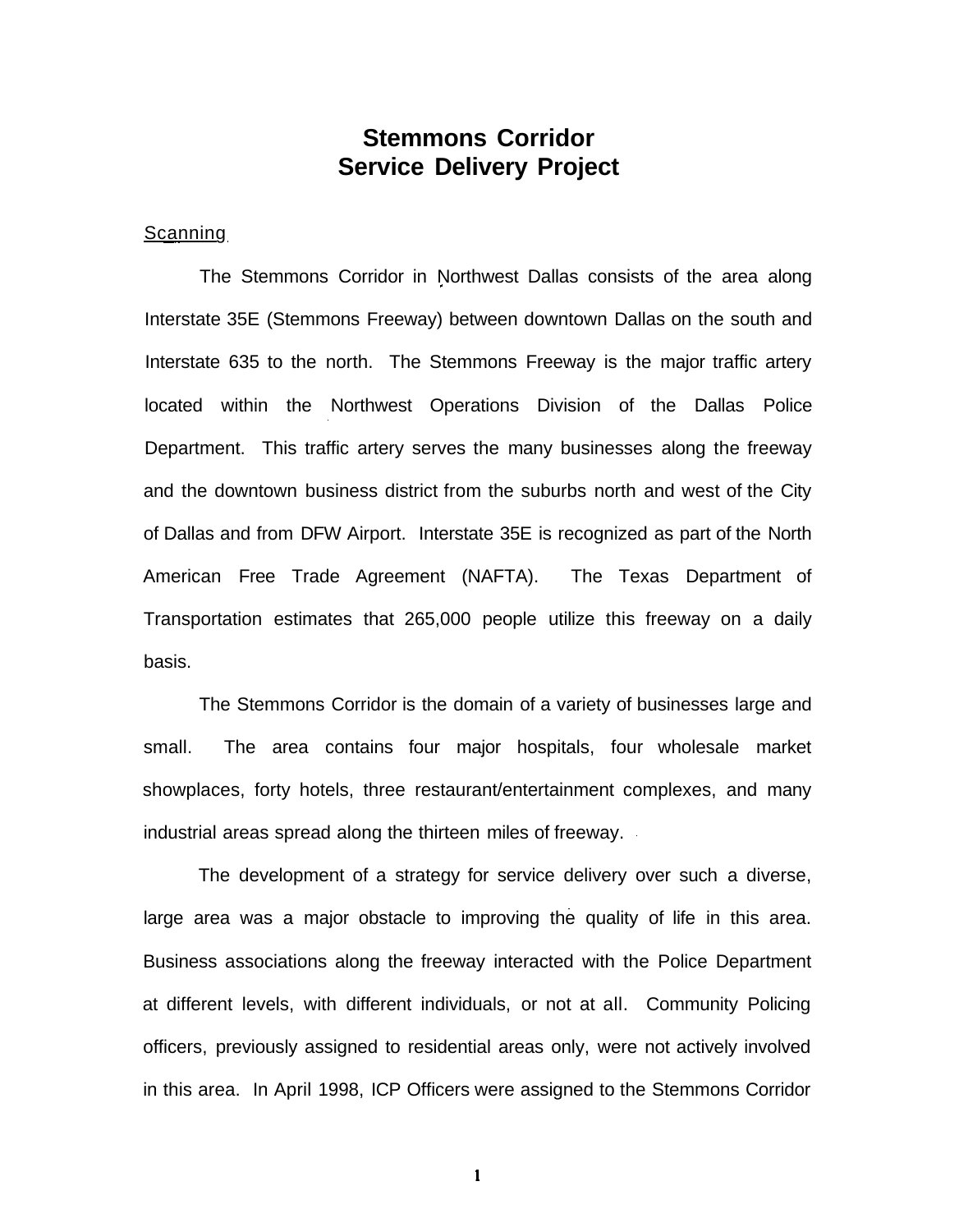# **Stemmons Corridor Service Delivery Project**

#### **Scanning**

The Stemmons Corridor in Northwest Dallas consists of the area along Interstate 35E (Stemmons Freeway) between downtown Dallas on the south and Interstate 635 to the north. The Stemmons Freeway is the major traffic artery located within the Northwest Operations Division of the Dallas Police Department. This traffic artery serves the many businesses along the freeway and the downtown business district from the suburbs north and west of the City of Dallas and from DFW Airport. Interstate 35E is recognized as part of the North American Free Trade Agreement (NAFTA). The Texas Department of Transportation estimates that 265,000 people utilize this freeway on a daily basis.

The Stemmons Corridor is the domain of a variety of businesses large and small. The area contains four major hospitals, four wholesale market showplaces, forty hotels, three restaurant/entertainment complexes, and many industrial areas spread along the thirteen miles of freeway.

The development of a strategy for service delivery over such a diverse, large area was a major obstacle to improving the quality of life in this area. Business associations along the freeway interacted with the Police Department at different levels, with different individuals, or not at all. Community Policing officers, previously assigned to residential areas only, were not actively involved in this area. In April 1998, ICP Officers were assigned to the Stemmons Corridor

 $\mathbf{1}$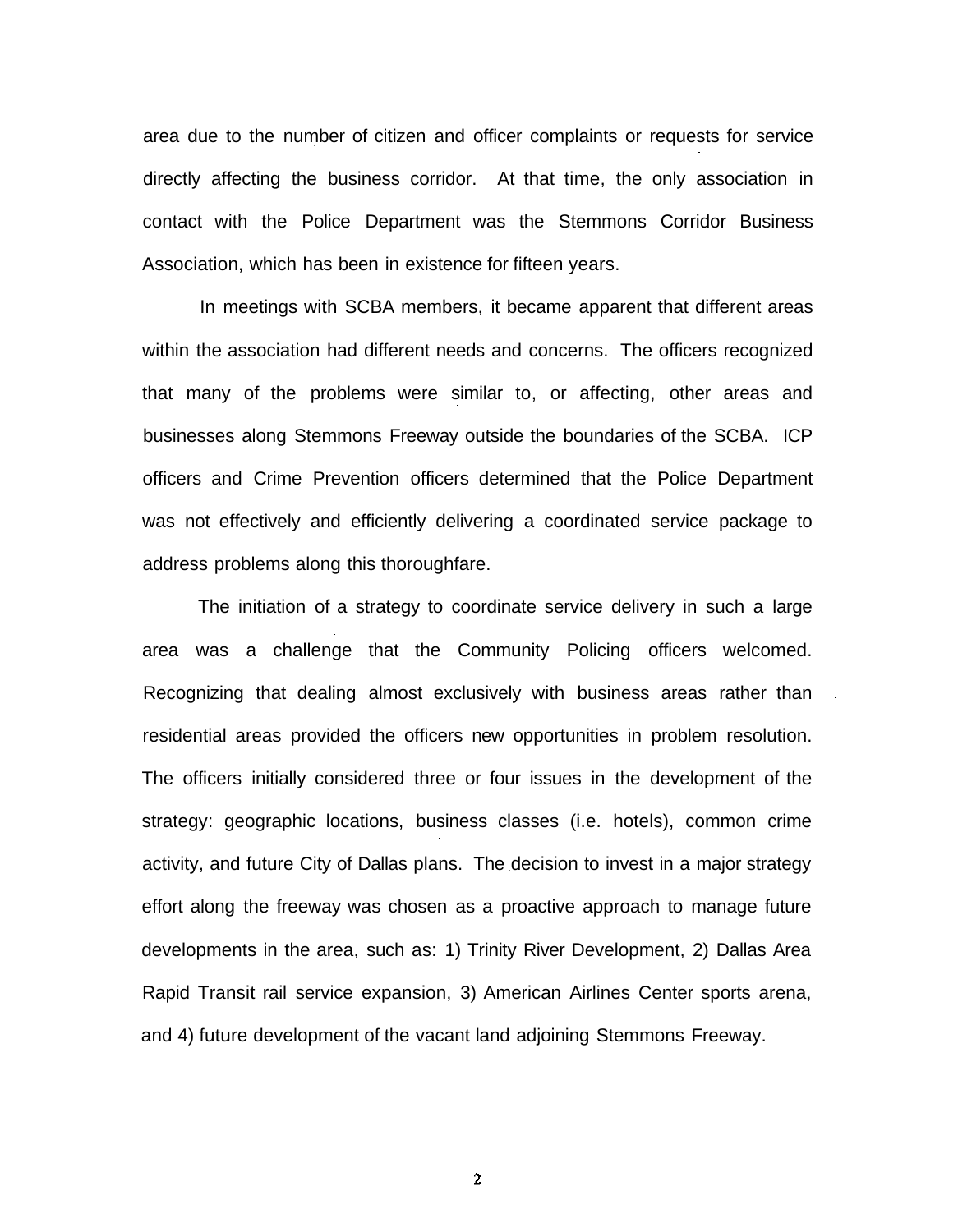area due to the number of citizen and officer complaints or requests for service directly affecting the business corridor. At that time, the only association in contact with the Police Department was the Stemmons Corridor Business Association, which has been in existence for fifteen years.

In meetings with SCBA members, it became apparent that different areas within the association had different needs and concerns. The officers recognized that many of the problems were similar to, or affecting, other areas and businesses along Stemmons Freeway outside the boundaries of the SCBA. ICP officers and Crime Prevention officers determined that the Police Department was not effectively and efficiently delivering a coordinated service package to address problems along this thoroughfare.

The initiation of a strategy to coordinate service delivery in such a large area was a challenge that the Community Policing officers welcomed. Recognizing that dealing almost exclusively with business areas rather than residential areas provided the officers new opportunities in problem resolution. The officers initially considered three or four issues in the development of the strategy: geographic locations, business classes (i.e. hotels), common crime activity, and future City of Dallas plans. The decision to invest in a major strategy effort along the freeway was chosen as a proactive approach to manage future developments in the area, such as: 1) Trinity River Development, 2) Dallas Area Rapid Transit rail service expansion, 3) American Airlines Center sports arena, and 4) future development of the vacant land adjoining Stemmons Freeway.

 $\overline{2}$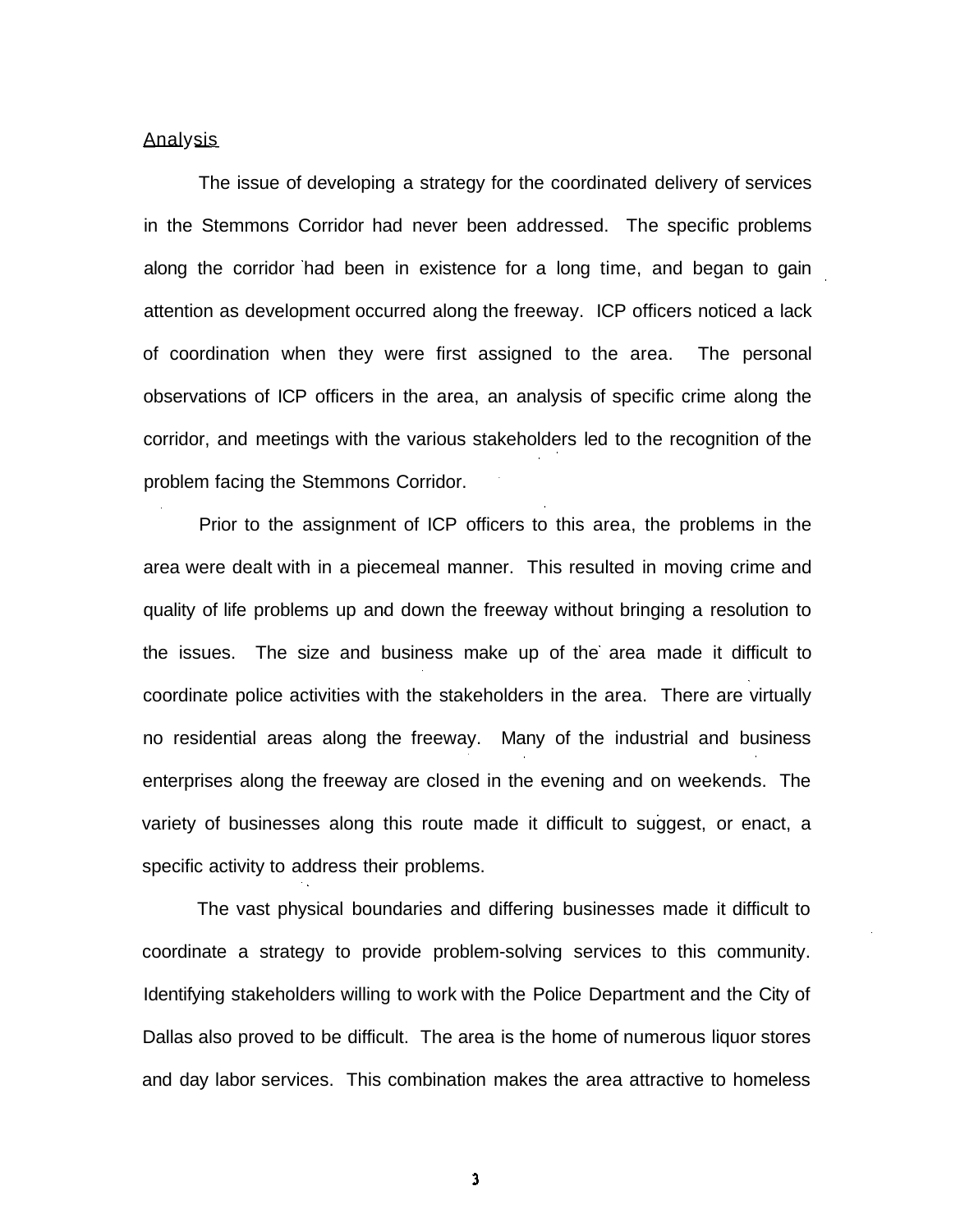#### Analysis

The issue of developing a strategy for the coordinated delivery of services in the Stemmons Corridor had never been addressed. The specific problems along the corridor had been in existence for a long time, and began to gain attention as development occurred along the freeway. ICP officers noticed a lack of coordination when they were first assigned to the area. The personal observations of ICP officers in the area, an analysis of specific crime along the corridor, and meetings with the various stakeholders led to the recognition of the problem facing the Stemmons Corridor.

Prior to the assignment of ICP officers to this area, the problems in the area were dealt with in a piecemeal manner. This resulted in moving crime and quality of life problems up and down the freeway without bringing a resolution to the issues. The size and business make up of the area made it difficult to coordinate police activities with the stakeholders in the area. There are virtually no residential areas along the freeway. Many of the industrial and business enterprises along the freeway are closed in the evening and on weekends. The variety of businesses along this route made it difficult to suggest, or enact, a specific activity to address their problems.

The vast physical boundaries and differing businesses made it difficult to coordinate a strategy to provide problem-solving services to this community. Identifying stakeholders willing to work with the Police Department and the City of Dallas also proved to be difficult. The area is the home of numerous liquor stores and day labor services. This combination makes the area attractive to homeless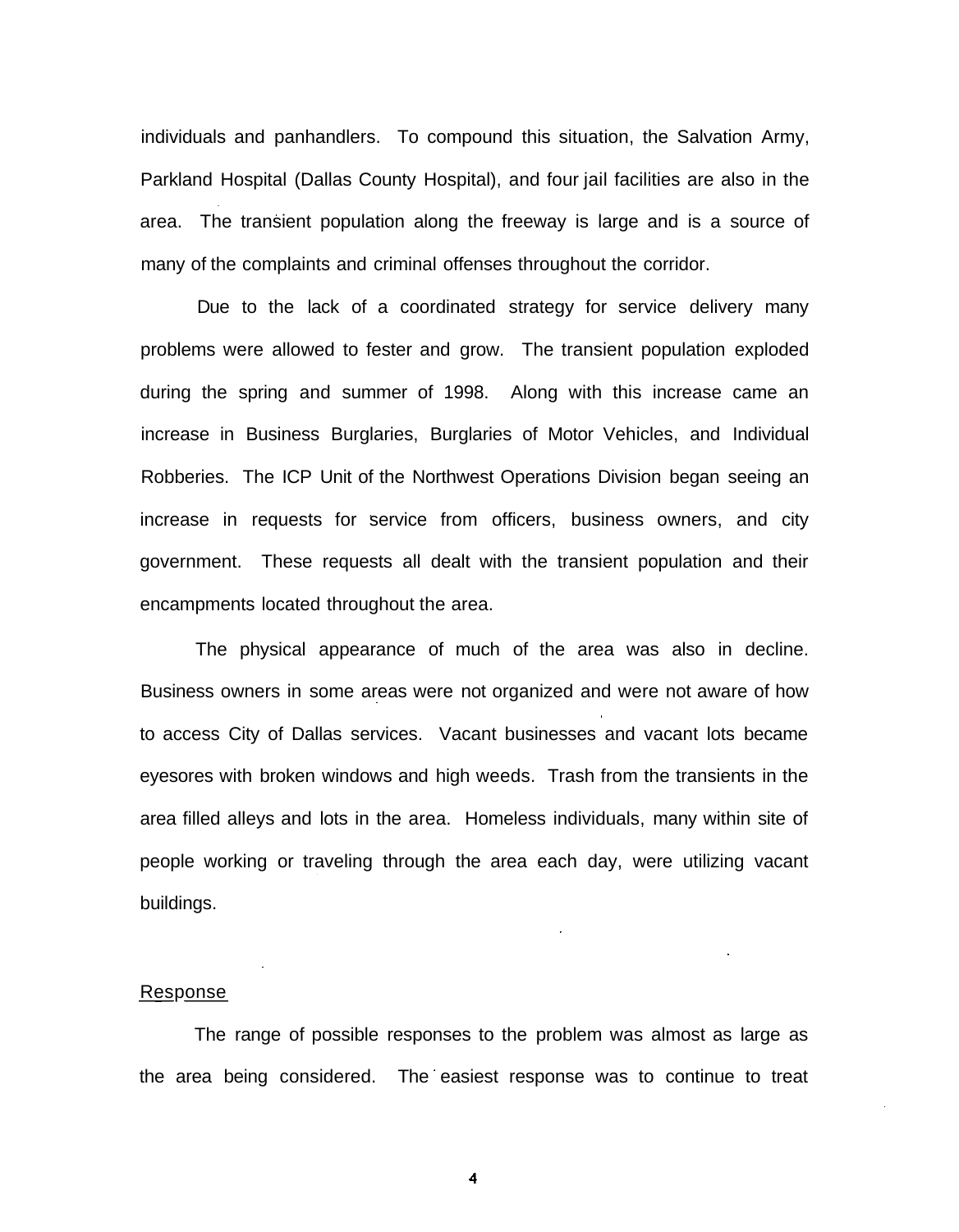individuals and panhandlers. To compound this situation, the Salvation Army, Parkland Hospital (Dallas County Hospital), and four jail facilities are also in the area. The transient population along the freeway is large and is a source of many of the complaints and criminal offenses throughout the corridor.

Due to the lack of a coordinated strategy for service delivery many problems were allowed to fester and grow. The transient population exploded during the spring and summer of 1998. Along with this increase came an increase in Business Burglaries, Burglaries of Motor Vehicles, and Individual Robberies. The ICP Unit of the Northwest Operations Division began seeing an increase in requests for service from officers, business owners, and city government. These requests all dealt with the transient population and their encampments located throughout the area.

The physical appearance of much of the area was also in decline. Business owners in some areas were not organized and were not aware of how to access City of Dallas services. Vacant businesses and vacant lots became eyesores with broken windows and high weeds. Trash from the transients in the area filled alleys and lots in the area. Homeless individuals, many within site of people working or traveling through the area each day, were utilizing vacant buildings.

#### Response

The range of possible responses to the problem was almost as large as the area being considered. The easiest response was to continue to treat

 $\overline{\mathbf{4}}$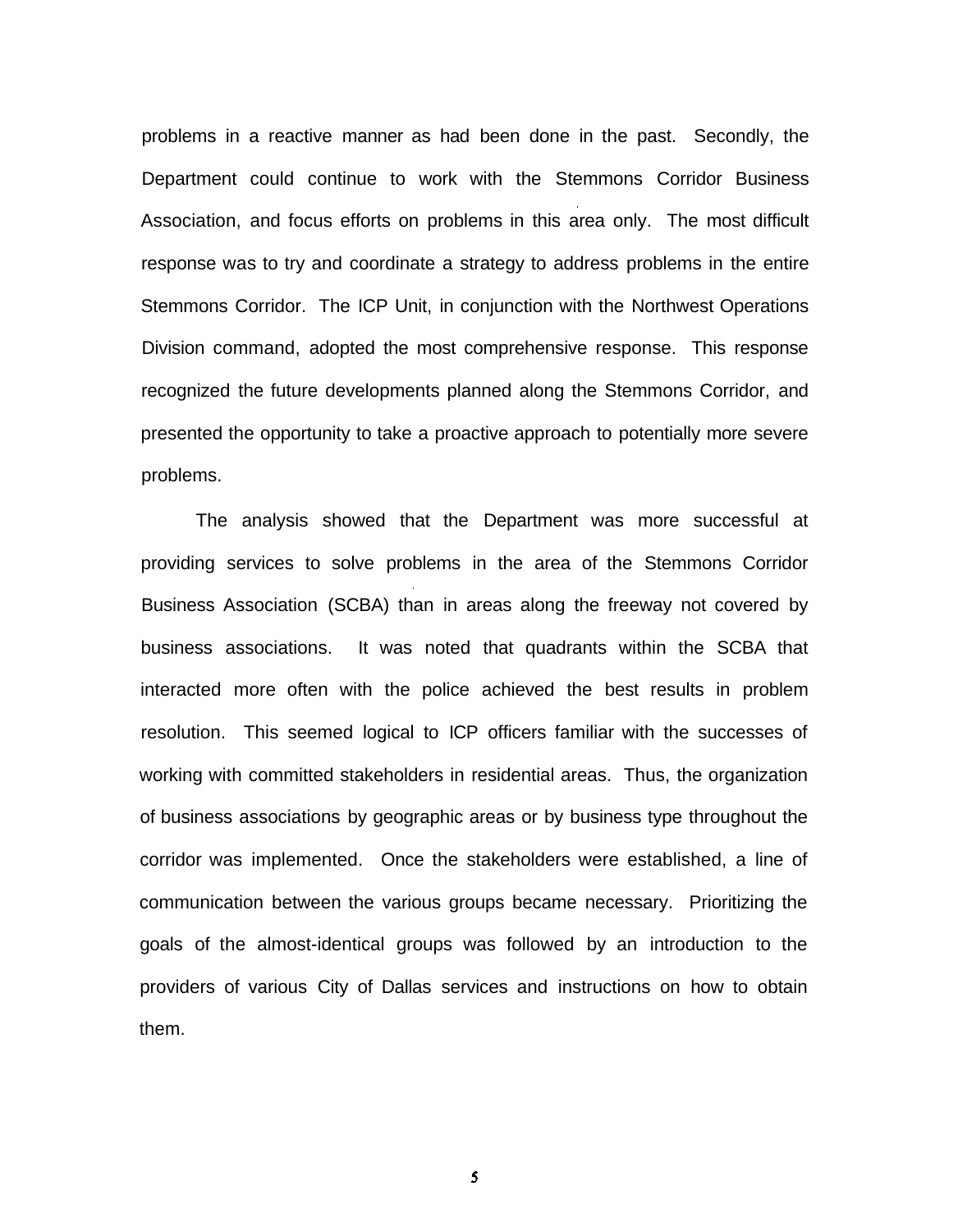problems in a reactive manner as had been done in the past. Secondly, the Department could continue to work with the Stemmons Corridor Business Association, and focus efforts on problems in this area only. The most difficult response was to try and coordinate a strategy to address problems in the entire Stemmons Corridor. The ICP Unit, in conjunction with the Northwest Operations Division command, adopted the most comprehensive response. This response recognized the future developments planned along the Stemmons Corridor, and presented the opportunity to take a proactive approach to potentially more severe problems.

The analysis showed that the Department was more successful at providing services to solve problems in the area of the Stemmons Corridor Business Association (SCBA) than in areas along the freeway not covered by business associations. It was noted that quadrants within the SCBA that interacted more often with the police achieved the best results in problem resolution. This seemed logical to ICP officers familiar with the successes of working with committed stakeholders in residential areas. Thus, the organization of business associations by geographic areas or by business type throughout the corridor was implemented. Once the stakeholders were established, a line of communication between the various groups became necessary. Prioritizing the goals of the almost-identical groups was followed by an introduction to the providers of various City of Dallas services and instructions on how to obtain them.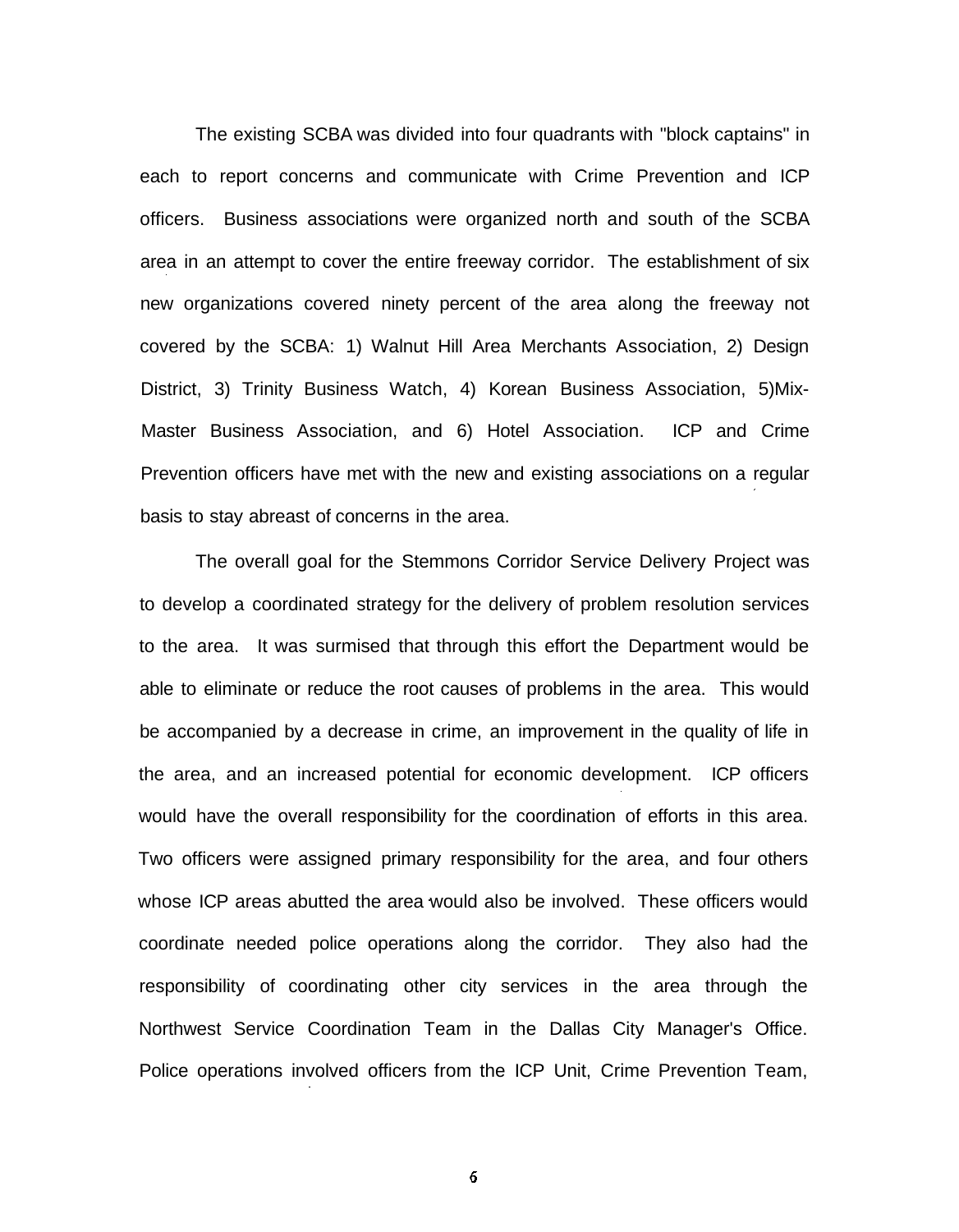The existing SCBA was divided into four quadrants with "block captains" in each to report concerns and communicate with Crime Prevention and ICP officers. Business associations were organized north and south of the SCBA area in an attempt to cover the entire freeway corridor. The establishment of six new organizations covered ninety percent of the area along the freeway not covered by the SCBA: 1) Walnut Hill Area Merchants Association, 2) Design District, 3) Trinity Business Watch, 4) Korean Business Association, 5)Mix-Master Business Association, and 6) Hotel Association. ICP and Crime Prevention officers have met with the new and existing associations on a regular basis to stay abreast of concerns in the area.

The overall goal for the Stemmons Corridor Service Delivery Project was to develop a coordinated strategy for the delivery of problem resolution services to the area. It was surmised that through this effort the Department would be able to eliminate or reduce the root causes of problems in the area. This would be accompanied by a decrease in crime, an improvement in the quality of life in the area, and an increased potential for economic development. ICP officers would have the overall responsibility for the coordination of efforts in this area. Two officers were assigned primary responsibility for the area, and four others whose ICP areas abutted the area would also be involved. These officers would coordinate needed police operations along the corridor. They also had the responsibility of coordinating other city services in the area through the Northwest Service Coordination Team in the Dallas City Manager's Office. Police operations involved officers from the ICP Unit, Crime Prevention Team,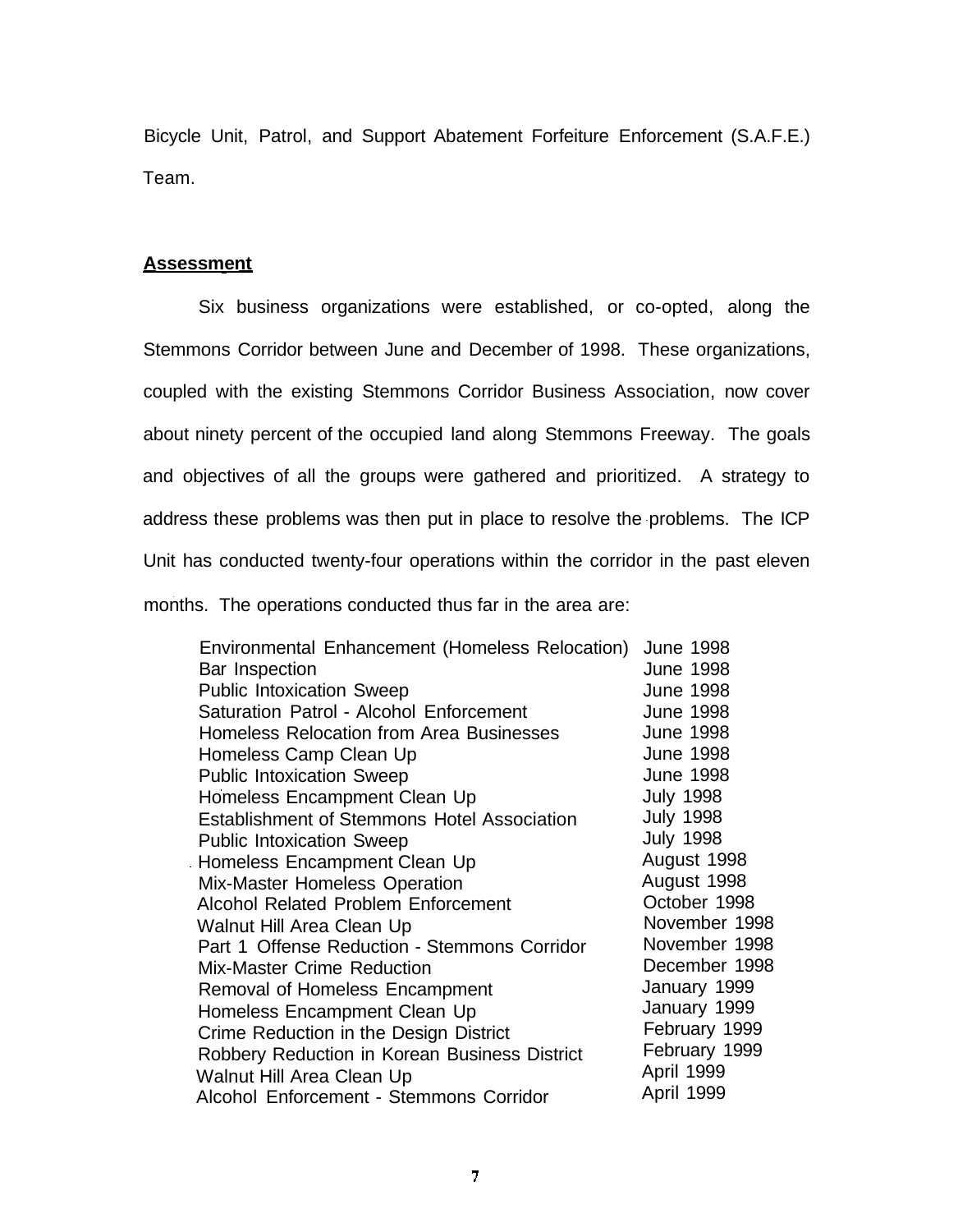Bicycle Unit, Patrol, and Support Abatement Forfeiture Enforcement (S.A.F.E.) Team.

#### **Assessment**

Six business organizations were established, or co-opted, along the Stemmons Corridor between June and December of 1998. These organizations, coupled with the existing Stemmons Corridor Business Association, now cover about ninety percent of the occupied land along Stemmons Freeway. The goals and objectives of all the groups were gathered and prioritized. A strategy to address these problems was then put in place to resolve the problems. The ICP Unit has conducted twenty-four operations within the corridor in the past eleven months. The operations conducted thus far in the area are:

| Environmental Enhancement (Homeless Relocation)    | <b>June 1998</b> |
|----------------------------------------------------|------------------|
| Bar Inspection                                     | <b>June 1998</b> |
| <b>Public Intoxication Sweep</b>                   | <b>June 1998</b> |
| Saturation Patrol - Alcohol Enforcement            | <b>June 1998</b> |
| Homeless Relocation from Area Businesses           | <b>June 1998</b> |
| Homeless Camp Clean Up                             | <b>June 1998</b> |
| <b>Public Intoxication Sweep</b>                   | <b>June 1998</b> |
| Homeless Encampment Clean Up                       | <b>July 1998</b> |
| <b>Establishment of Stemmons Hotel Association</b> | <b>July 1998</b> |
| <b>Public Intoxication Sweep</b>                   | <b>July 1998</b> |
| Homeless Encampment Clean Up                       | August 1998      |
| Mix-Master Homeless Operation                      | August 1998      |
| <b>Alcohol Related Problem Enforcement</b>         | October 1998     |
| Walnut Hill Area Clean Up                          | November 1998    |
| Part 1 Offense Reduction - Stemmons Corridor       | November 1998    |
| <b>Mix-Master Crime Reduction</b>                  | December 1998    |
| Removal of Homeless Encampment                     | January 1999     |
| Homeless Encampment Clean Up                       | January 1999     |
| Crime Reduction in the Design District             | February 1999    |
| Robbery Reduction in Korean Business District      | February 1999    |
| Walnut Hill Area Clean Up                          | April 1999       |
| Alcohol Enforcement - Stemmons Corridor            | April 1999       |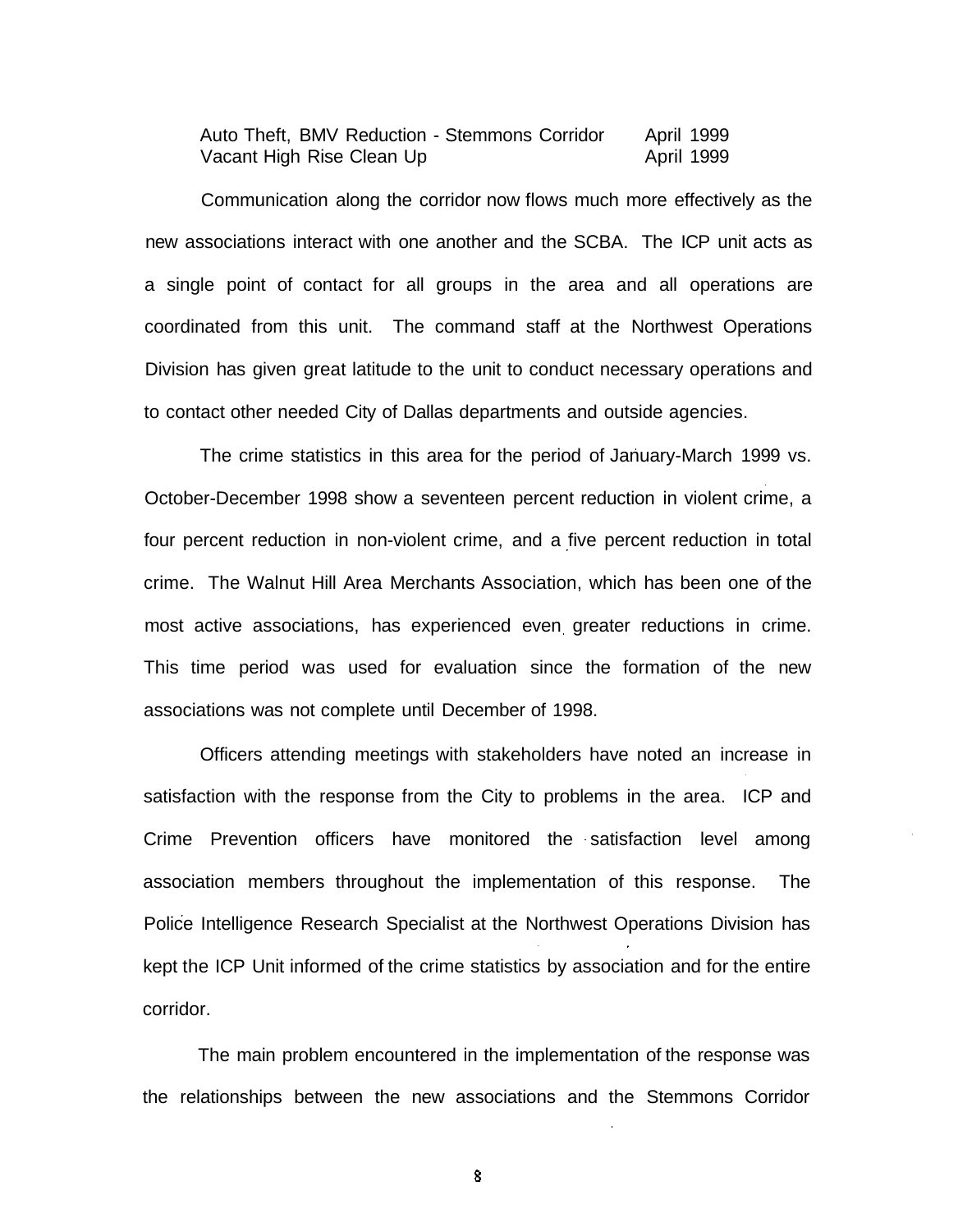Auto Theft, BMV Reduction - Stemmons Corridor April 1999 Vacant High Rise Clean Up April 1999

Communication along the corridor now flows much more effectively as the new associations interact with one another and the SCBA. The ICP unit acts as a single point of contact for all groups in the area and all operations are coordinated from this unit. The command staff at the Northwest Operations Division has given great latitude to the unit to conduct necessary operations and to contact other needed City of Dallas departments and outside agencies.

The crime statistics in this area for the period of January-March 1999 vs. October-December 1998 show a seventeen percent reduction in violent crime, a four percent reduction in non-violent crime, and a five percent reduction in total crime. The Walnut Hill Area Merchants Association, which has been one of the most active associations, has experienced even greater reductions in crime. This time period was used for evaluation since the formation of the new associations was not complete until December of 1998.

Officers attending meetings with stakeholders have noted an increase in satisfaction with the response from the City to problems in the area. ICP and Crime Prevention officers have monitored the satisfaction level among association members throughout the implementation of this response. The Police Intelligence Research Specialist at the Northwest Operations Division has kept the ICP Unit informed of the crime statistics by association and for the entire corridor.

The main problem encountered in the implementation of the response was the relationships between the new associations and the Stemmons Corridor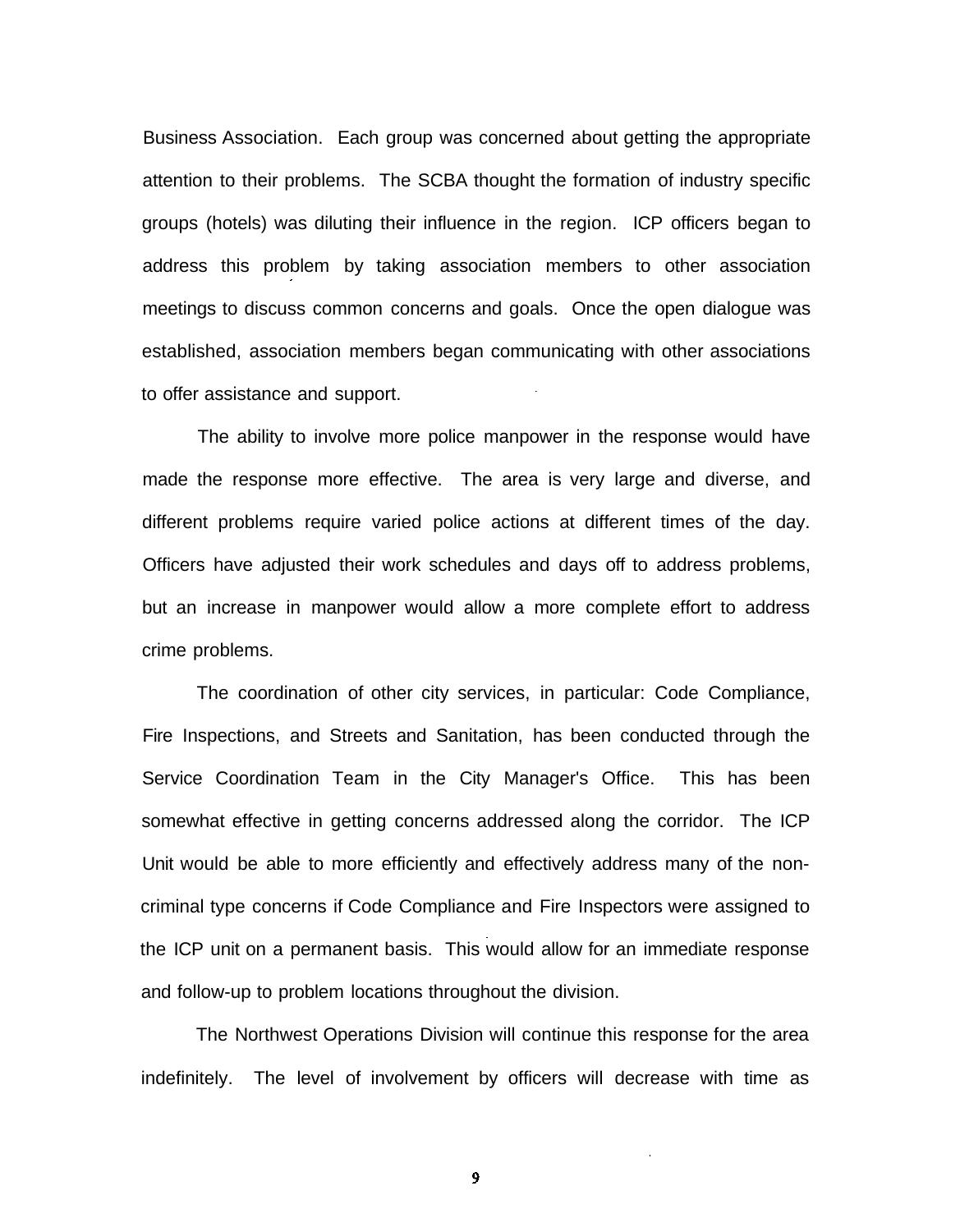Business Association. Each group was concerned about getting the appropriate attention to their problems. The SCBA thought the formation of industry specific groups (hotels) was diluting their influence in the region. ICP officers began to address this problem by taking association members to other association meetings to discuss common concerns and goals. Once the open dialogue was established, association members began communicating with other associations to offer assistance and support.

The ability to involve more police manpower in the response would have made the response more effective. The area is very large and diverse, and different problems require varied police actions at different times of the day. Officers have adjusted their work schedules and days off to address problems, but an increase in manpower would allow a more complete effort to address crime problems.

The coordination of other city services, in particular: Code Compliance, Fire Inspections, and Streets and Sanitation, has been conducted through the Service Coordination Team in the City Manager's Office. This has been somewhat effective in getting concerns addressed along the corridor. The ICP Unit would be able to more efficiently and effectively address many of the noncriminal type concerns if Code Compliance and Fire Inspectors were assigned to the ICP unit on a permanent basis. This would allow for an immediate response and follow-up to problem locations throughout the division.

The Northwest Operations Division will continue this response for the area indefinitely. The level of involvement by officers will decrease with time as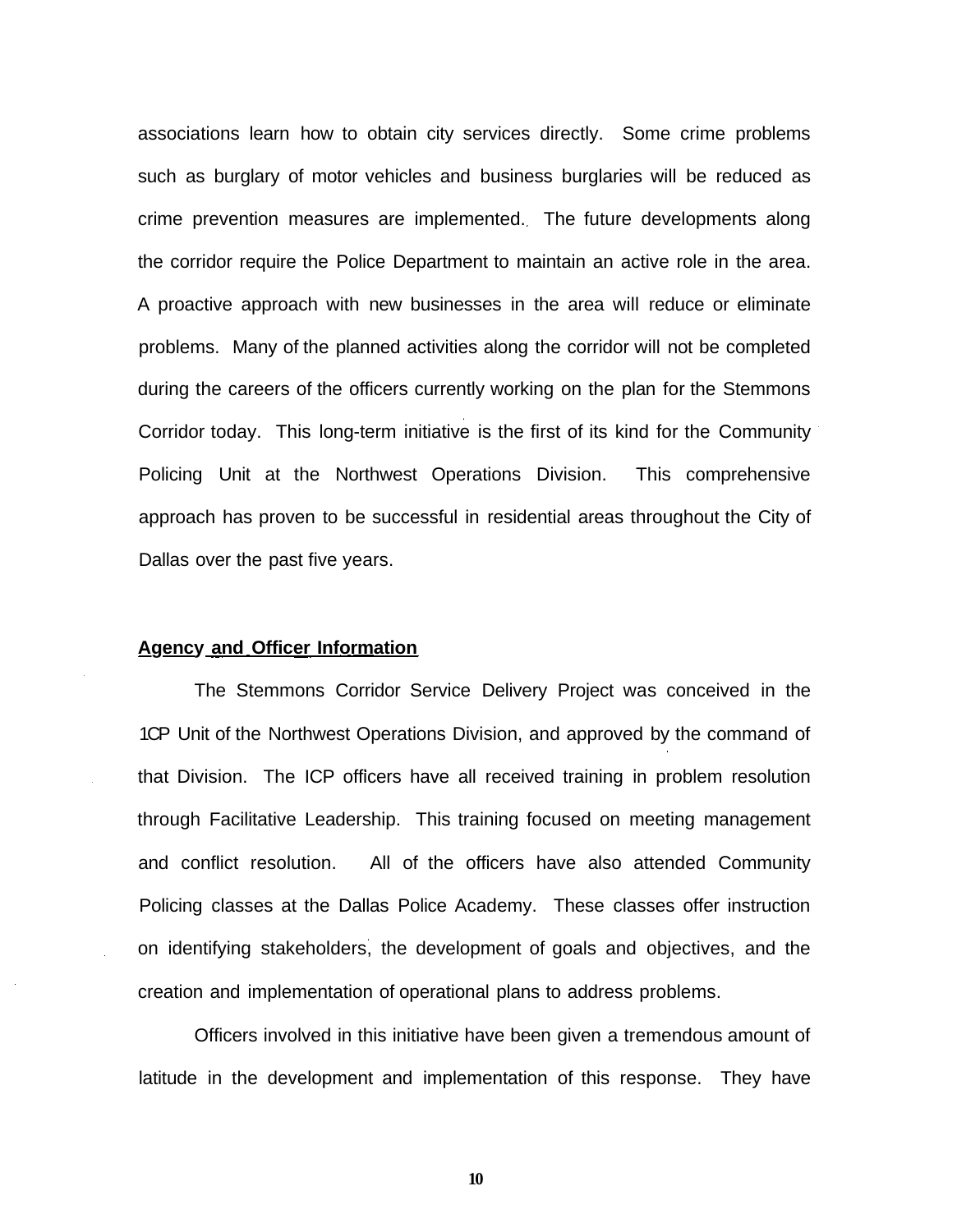associations learn how to obtain city services directly. Some crime problems such as burglary of motor vehicles and business burglaries will be reduced as crime prevention measures are implemented. The future developments along the corridor require the Police Department to maintain an active role in the area. A proactive approach with new businesses in the area will reduce or eliminate problems. Many of the planned activities along the corridor will not be completed during the careers of the officers currently working on the plan for the Stemmons Corridor today. This long-term initiative is the first of its kind for the Community Policing Unit at the Northwest Operations Division. This comprehensive approach has proven to be successful in residential areas throughout the City of Dallas over the past five years.

#### **Agency and Officer Information**

The Stemmons Corridor Service Delivery Project was conceived in the 1CP Unit of the Northwest Operations Division, and approved by the command of that Division. The ICP officers have all received training in problem resolution through Facilitative Leadership. This training focused on meeting management and conflict resolution. All of the officers have also attended Community Policing classes at the Dallas Police Academy. These classes offer instruction on identifying stakeholders, the development of goals and objectives, and the creation and implementation of operational plans to address problems.

Officers involved in this initiative have been given a tremendous amount of latitude in the development and implementation of this response. They have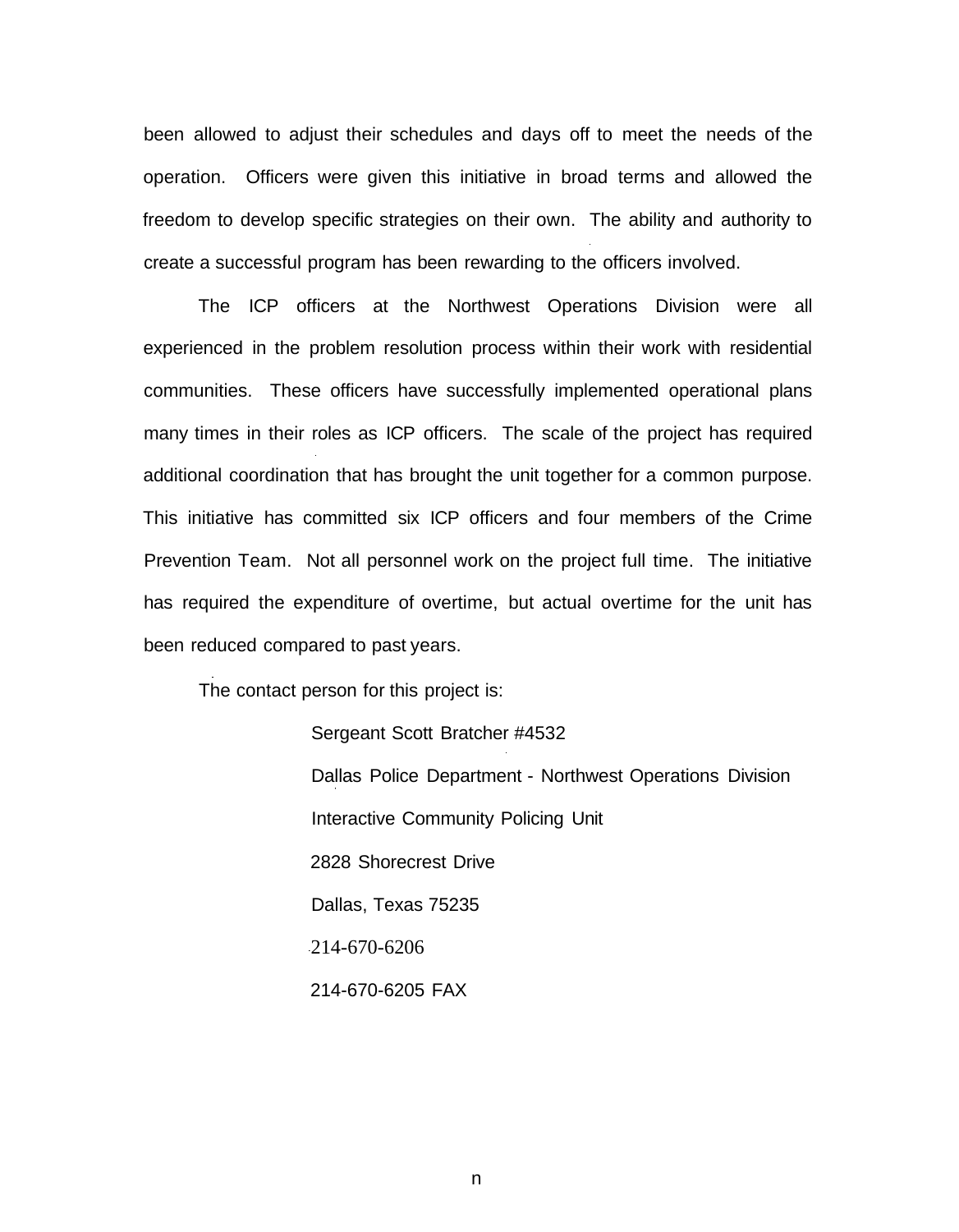been allowed to adjust their schedules and days off to meet the needs of the operation. Officers were given this initiative in broad terms and allowed the freedom to develop specific strategies on their own. The ability and authority to create a successful program has been rewarding to the officers involved.

The ICP officers at the Northwest Operations Division were all experienced in the problem resolution process within their work with residential communities. These officers have successfully implemented operational plans many times in their roles as ICP officers. The scale of the project has required additional coordination that has brought the unit together for a common purpose. This initiative has committed six ICP officers and four members of the Crime Prevention Team. Not all personnel work on the project full time. The initiative has required the expenditure of overtime, but actual overtime for the unit has been reduced compared to past years.

The contact person for this project is:

Sergeant Scott Bratcher #4532 Dallas Police Department - Northwest Operations Division Interactive Community Policing Unit 2828 Shorecrest Drive Dallas, Texas 75235 214-670-6206 214-670-6205 FAX

n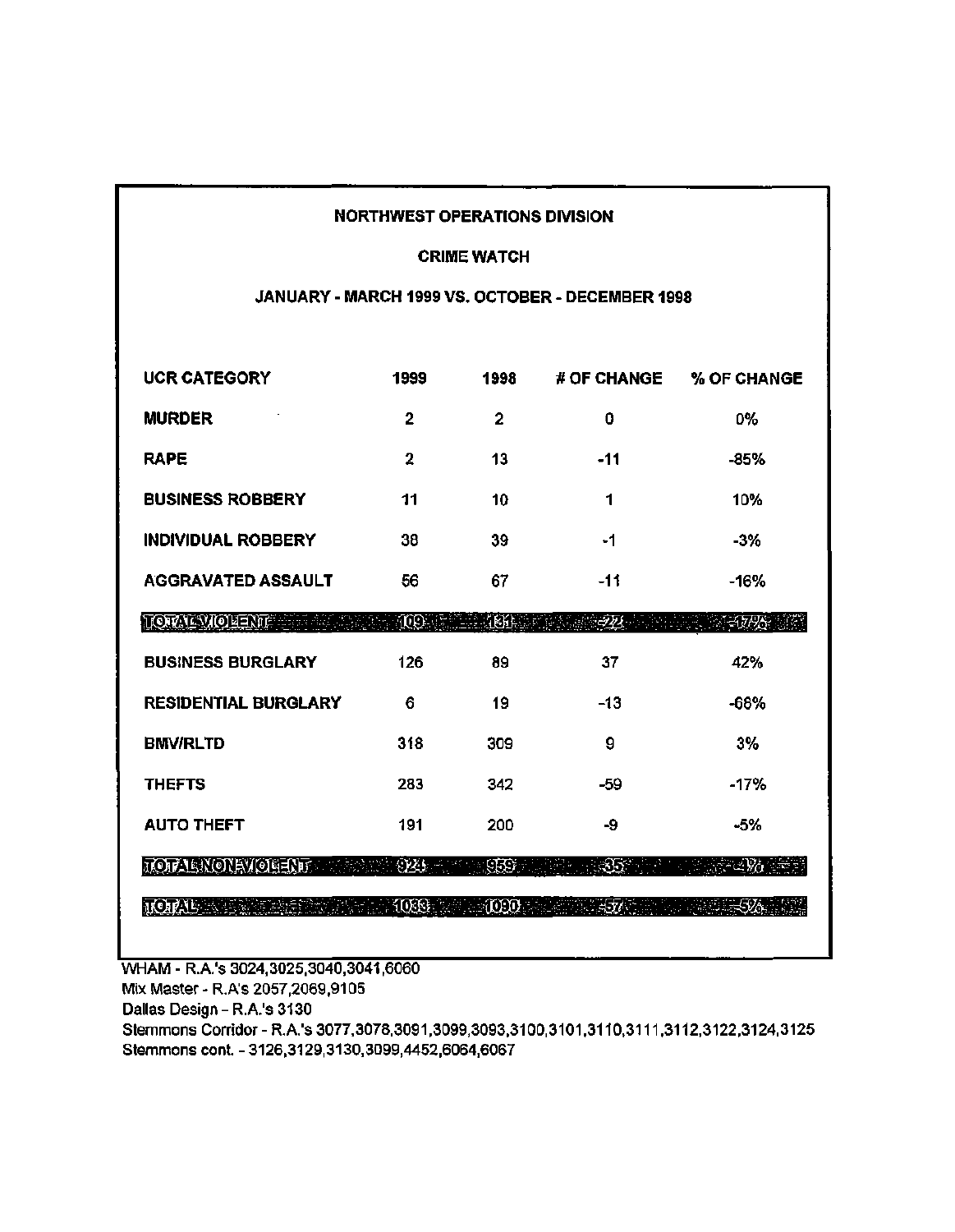#### **NORTHWEST OPERATIONS DIVISION**

#### **CRIME WATCH**

#### JANUARY - MARCH 1999 VS. OCTOBER - DECEMBER 1998

| <b>UCR CATEGORY</b>         | 1999 | 1998           | <b># OF CHANGE</b> | % OF CHANGE |
|-----------------------------|------|----------------|--------------------|-------------|
| <b>MURDER</b>               | 2    | $\overline{2}$ | 0                  | 0%          |
| <b>RAPE</b>                 | 2    | 13             | $-11$              | $-85%$      |
| <b>BUSINESS ROBBERY</b>     | 11   | 10             | 1                  | 10%         |
| <b>INDIVIDUAL ROBBERY</b>   | 38   | 39             | -1                 | $-3%$       |
| <b>AGGRAVATED ASSAULT</b>   | 56   | 67             | $-11$              | $-16%$      |
| <b>TORTEVIOLENT</b>         | Œ.   | <b>1691</b>    | JT)                | $-5796$     |
| <b>BUSINESS BURGLARY</b>    | 126  | 89             | 37                 | 42%         |
| <b>RESIDENTIAL BURGLARY</b> | 6    | 19             | $-13$              | -68%        |
| <b>BMV/RLTD</b>             | 318  | 309            | 9                  | 3%          |
| <b>THEFTS</b>               | 283  | 342            | $-59$              | $-17%$      |
| <b>AUTO THEFT</b>           | 191  | 200            | -9                 | -5%         |
| TOTAL NONEVOLENT            | 925  | 958).<br>S     | 353                | -294        |
| <b>JOIAU</b>                | 1066 | - 1090         |                    |             |

WHAM - R.A.'s 3024,3025,3040,3041,6060

Mix Master - R.A's 2057, 2069, 9105

Dallas Design - R.A.'s 3130

Stemmons Corridor - R.A.'s 3077,3078,3091,3099,3093,3100,3101,3110,3111,3112,3122,3124,3125 Stemmons cont. - 3126,3129,3130,3099,4452,6064,6067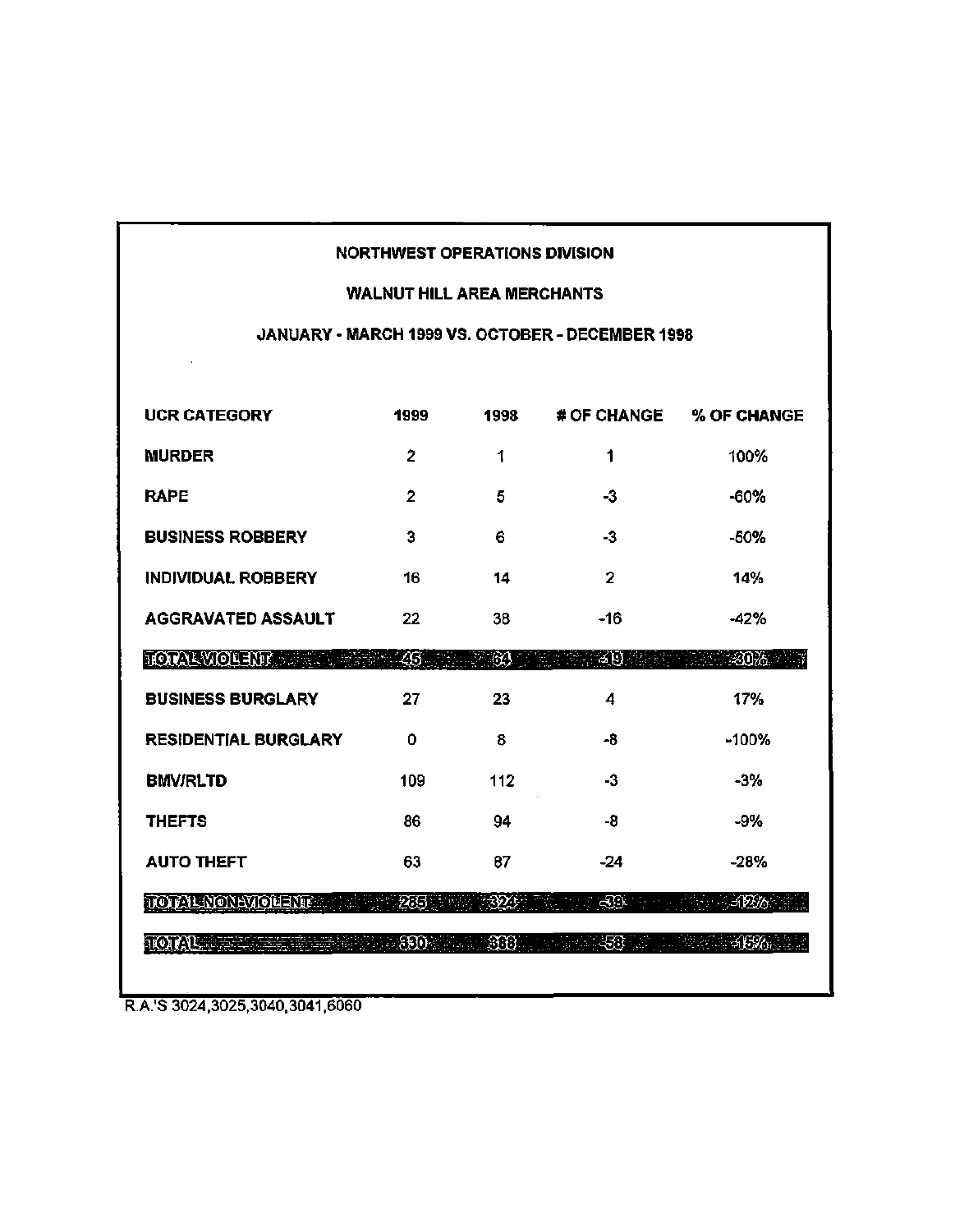#### **NORTHWEST OPERATIONS DIVISION**

### **WALNUT HILL AREA MERCHANTS**

## JANUARY - MARCH 1999 VS. OCTOBER - DECEMBER 1998

| <b>UCR CATEGORY</b>          | 1999           | 1998   | # OF CHANGE  | % OF CHANGE   |
|------------------------------|----------------|--------|--------------|---------------|
| <b>MURDER</b>                | $\overline{2}$ | 1      | 1            | 100%          |
| <b>RAPE</b>                  | $\overline{2}$ | 5      | -3           | $-60%$        |
| <b>BUSINESS ROBBERY</b>      | 3              | 6      | $-3$         | $-50%$        |
| <b>INDIVIDUAL ROBBERY</b>    | 16             | 14     | $\mathbf{2}$ | 14%           |
| <b>AGGRAVATED ASSAULT</b>    | 22             | 38     | -16          | -42%          |
| <b>TOTAL VIOLENT SERVICE</b> | 26.            | -623   | ट ए          | $-20\%$       |
| <b>BUSINESS BURGLARY</b>     | 27             | 23     | 4            | 17%           |
| <b>RESIDENTIAL BURGLARY</b>  | 0              | 8      | -8           | $-100%$       |
| <b>BMV/RLTD</b>              | 109            | 112    | -3           | $-3%$         |
| <b>THEFTS</b>                | 86             | 94     | -8           | -9%           |
| <b>AUTO THEFT</b>            | 63             | 87     | $-24$        | $-28%$        |
| TOTALNONAVIOLENT             | 255            | 79Y)   | $\bigoplus$  | $-1226$       |
| <b>TOTAL SECTION</b>         | - 890 - 190    | - 388. | ्साः ।       | <i>∴</i> अस्‰ |

R.A.'S 3024,3025,3040,3041,6060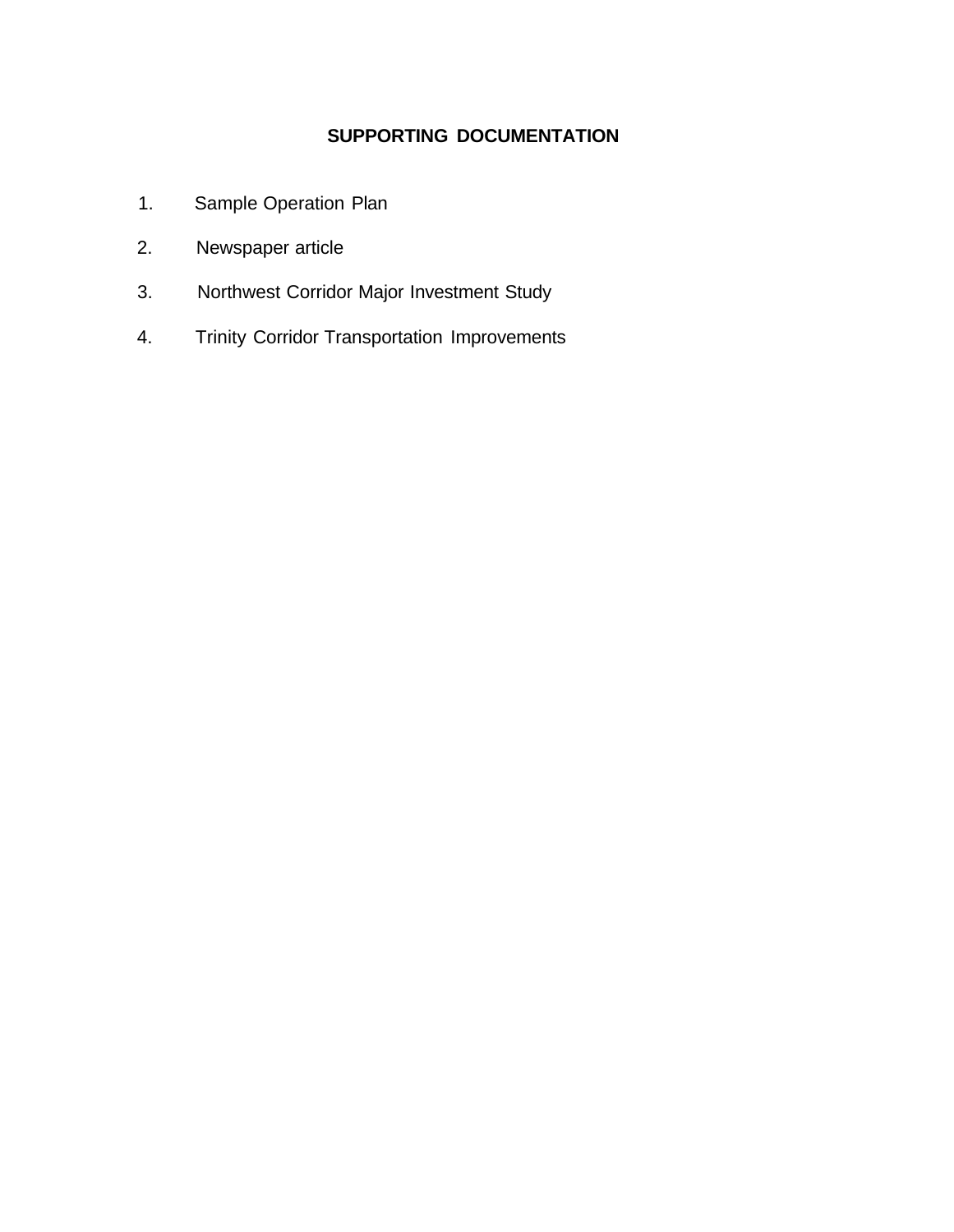# **SUPPORTING DOCUMENTATION**

- 1. Sample Operation Plan
- 2. Newspaper article
- 3. Northwest Corridor Major Investment Study
- 4. Trinity Corridor Transportation Improvements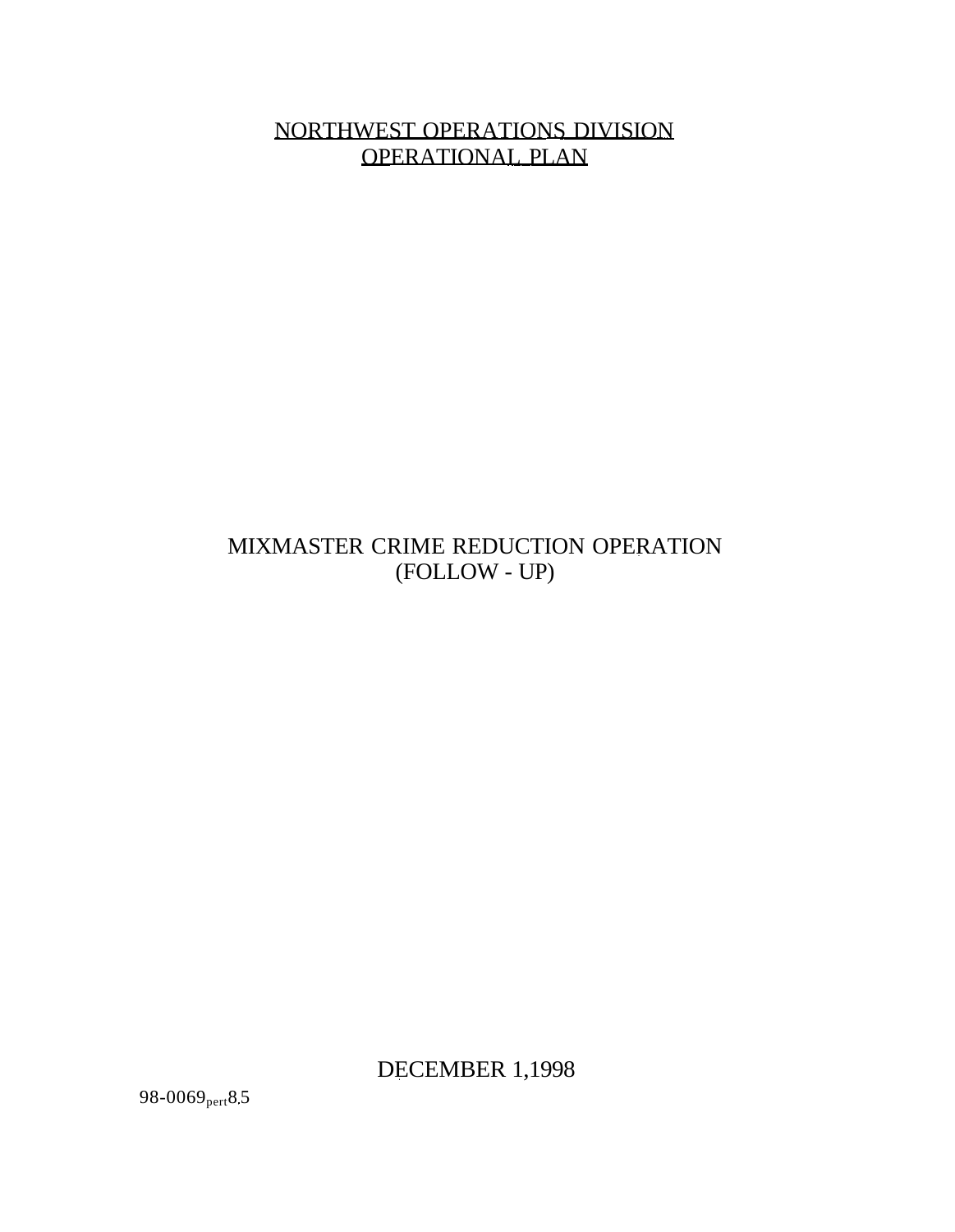NORTHWEST OPERATIONS DIVISION OPERATIONAL PLAN

# MIXMASTER CRIME REDUCTION OPERATION (FOLLOW - UP)

DECEMBER 1,1998

98-0069 $_{pert}$ 8.5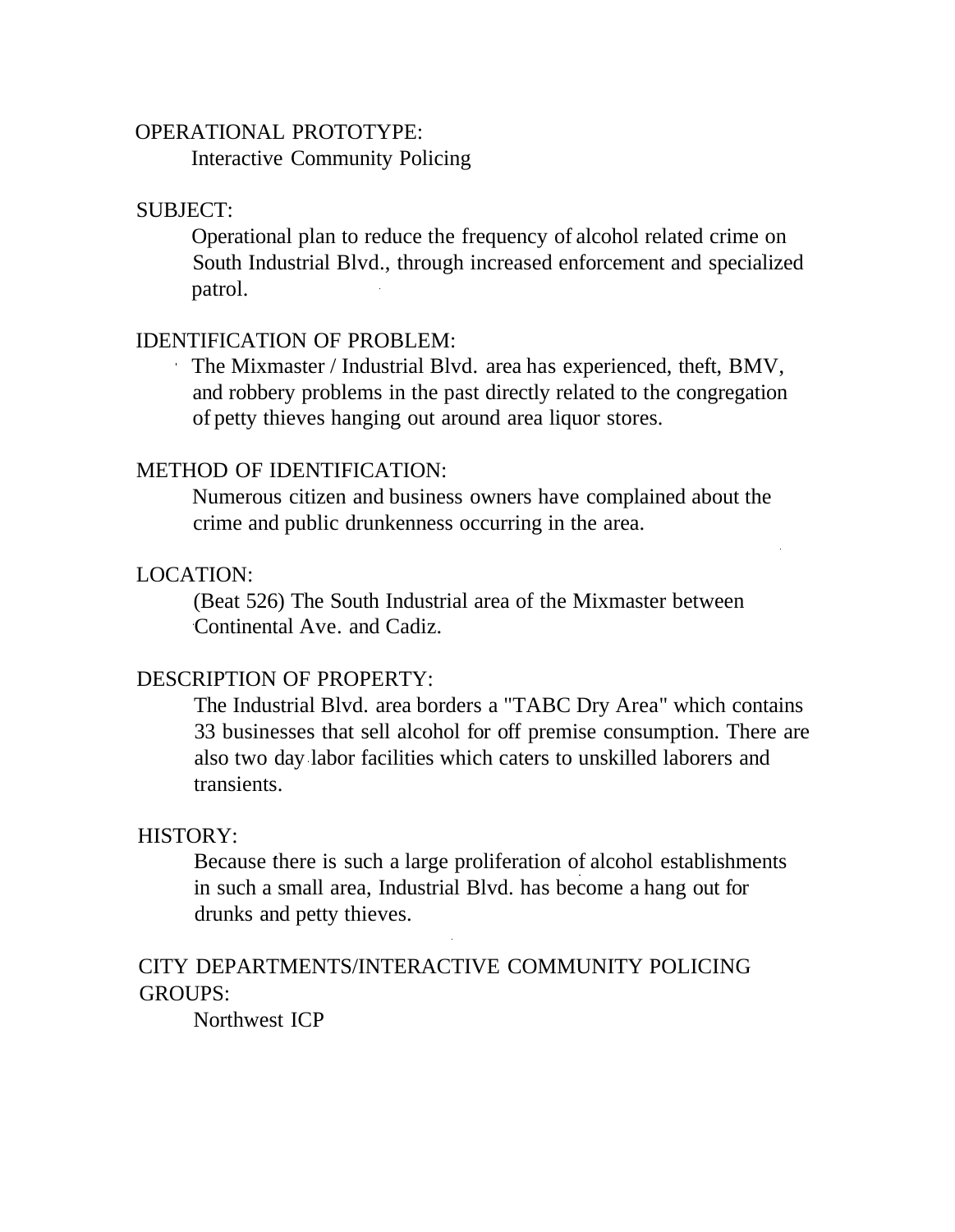## OPERATIONAL PROTOTYPE:

Interactive Community Policing

### SUBJECT:

Operational plan to reduce the frequency of alcohol related crime on South Industrial Blvd., through increased enforcement and specialized patrol.

## IDENTIFICATION OF PROBLEM:

The Mixmaster / Industrial Blvd. area has experienced, theft, BMV, and robbery problems in the past directly related to the congregation of petty thieves hanging out around area liquor stores.

### METHOD OF IDENTIFICATION:

Numerous citizen and business owners have complained about the crime and public drunkenness occurring in the area.

## LOCATION:

(Beat 526) The South Industrial area of the Mixmaster between Continental Ave. and Cadiz.

### DESCRIPTION OF PROPERTY:

The Industrial Blvd. area borders a "TABC Dry Area" which contains 33 businesses that sell alcohol for off premise consumption. There are also two day labor facilities which caters to unskilled laborers and transients.

### HISTORY:

Because there is such a large proliferation of alcohol establishments in such a small area, Industrial Blvd. has become a hang out for drunks and petty thieves.

# CITY DEPARTMENTS/INTERACTIVE COMMUNITY POLICING GROUPS:

Northwest ICP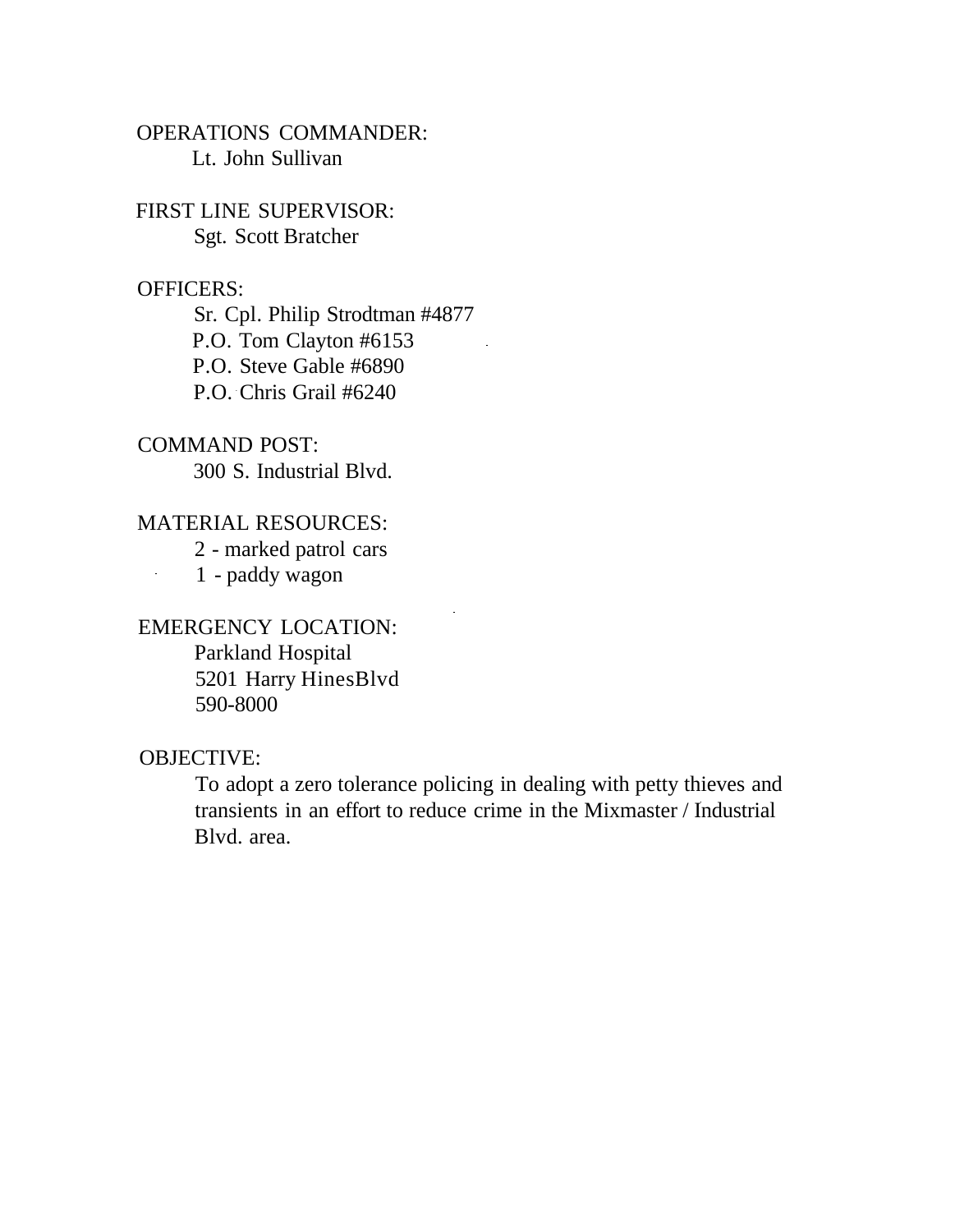OPERATIONS COMMANDER: Lt. John Sullivan

FIRST LINE SUPERVISOR: Sgt. Scott Bratcher

## OFFICERS:

Sr. Cpl. Philip Strodtman #4877 P.O. Tom Clayton #6153 P.O. Steve Gable #6890 P.O. Chris Grail #6240

COMMAND POST: 300 S. Industrial Blvd.

### MATERIAL RESOURCES:

2 - marked patrol cars 1 - paddy wagon

EMERGENCY LOCATION: Parkland Hospital 5201 Harry HinesBlvd 590-8000

### OBJECTIVE:

 $\mathbb{R}^2$ 

To adopt a zero tolerance policing in dealing with petty thieves and transients in an effort to reduce crime in the Mixmaster / Industrial Blvd. area.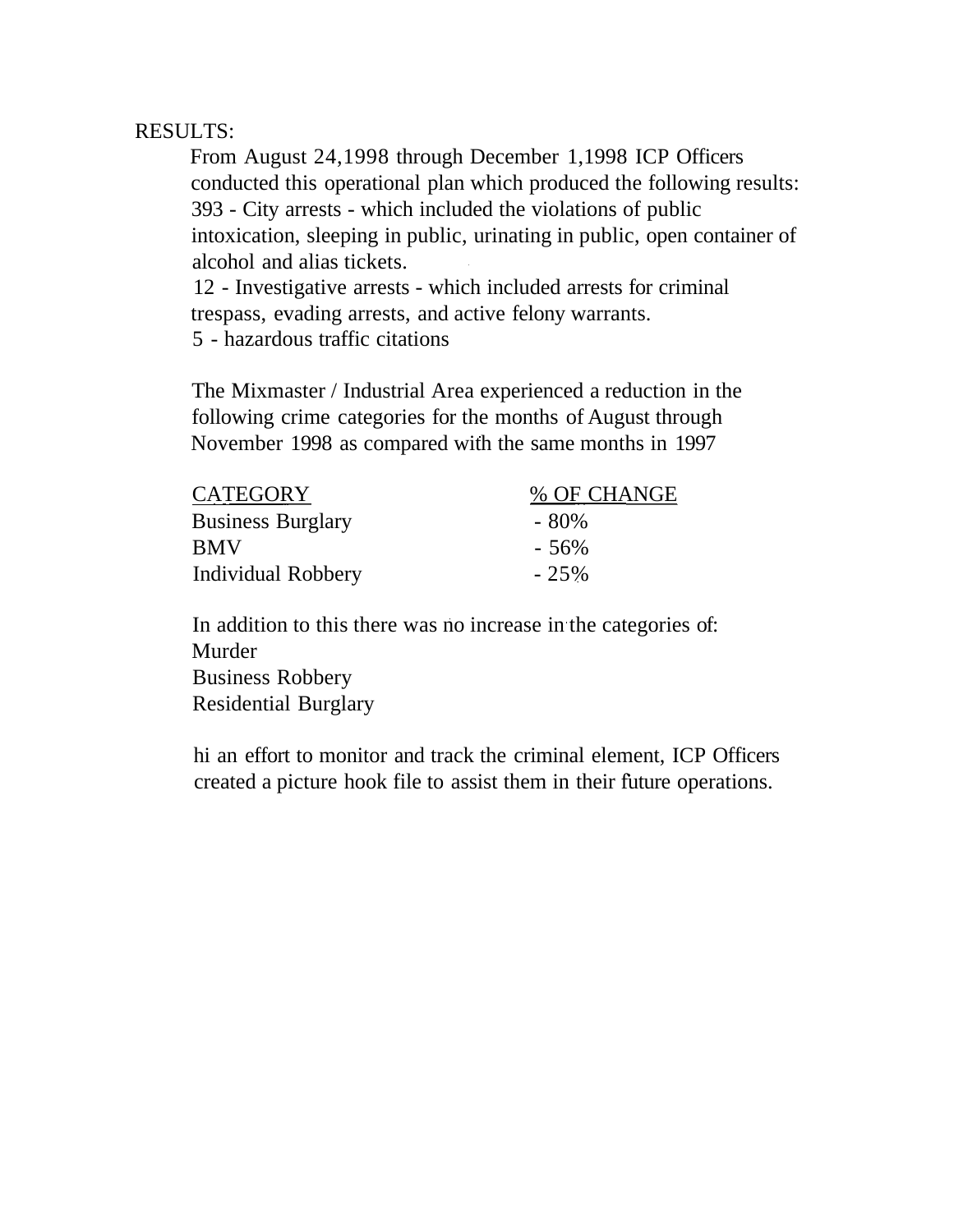# RESULTS:

From August 24,1998 through December 1,1998 ICP Officers conducted this operational plan which produced the following results: 393 - City arrests - which included the violations of public intoxication, sleeping in public, urinating in public, open container of alcohol and alias tickets.

12 - Investigative arrests - which included arrests for criminal trespass, evading arrests, and active felony warrants. 5 - hazardous traffic citations

The Mixmaster / Industrial Area experienced a reduction in the following crime categories for the months of August through November 1998 as compared with the same months in 1997

| <b>CATEGORY</b>          | % OF CHANGE |
|--------------------------|-------------|
| <b>Business Burglary</b> | - 80%       |
| <b>BMV</b>               | $-56%$      |
| Individual Robbery       | $-25%$      |

In addition to this there was no increase in the categories of: Murder Business Robbery Residential Burglary

hi an effort to monitor and track the criminal element, ICP Officers created a picture hook file to assist them in their future operations.